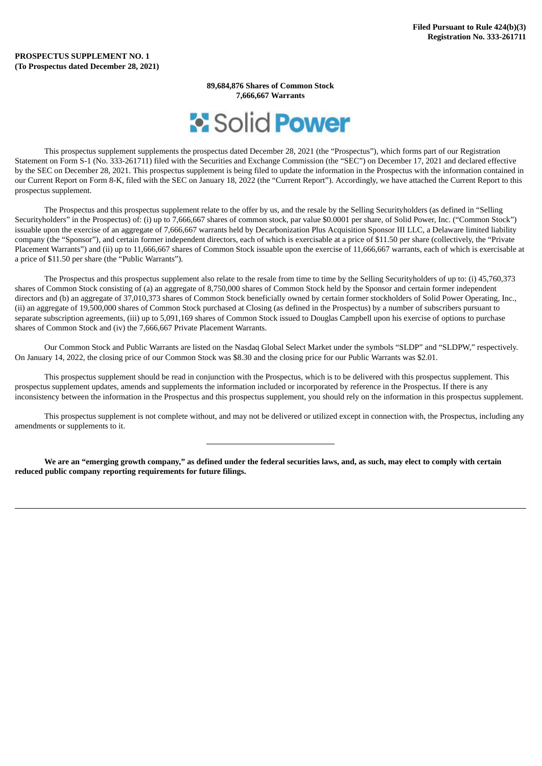**89,684,876 Shares of Common Stock 7,666,667 Warrants**



This prospectus supplement supplements the prospectus dated December 28, 2021 (the "Prospectus"), which forms part of our Registration Statement on Form S-1 (No. 333-261711) filed with the Securities and Exchange Commission (the "SEC") on December 17, 2021 and declared effective by the SEC on December 28, 2021. This prospectus supplement is being filed to update the information in the Prospectus with the information contained in our Current Report on Form 8-K, filed with the SEC on January 18, 2022 (the "Current Report"). Accordingly, we have attached the Current Report to this prospectus supplement.

The Prospectus and this prospectus supplement relate to the offer by us, and the resale by the Selling Securityholders (as defined in "Selling Securityholders" in the Prospectus) of: (i) up to 7,666,667 shares of common stock, par value \$0.0001 per share, of Solid Power, Inc. ("Common Stock") issuable upon the exercise of an aggregate of 7,666,667 warrants held by Decarbonization Plus Acquisition Sponsor III LLC, a Delaware limited liability company (the "Sponsor"), and certain former independent directors, each of which is exercisable at a price of \$11.50 per share (collectively, the "Private Placement Warrants") and (ii) up to 11,666,667 shares of Common Stock issuable upon the exercise of 11,666,667 warrants, each of which is exercisable at a price of \$11.50 per share (the "Public Warrants").

The Prospectus and this prospectus supplement also relate to the resale from time to time by the Selling Securityholders of up to: (i) 45,760,373 shares of Common Stock consisting of (a) an aggregate of 8,750,000 shares of Common Stock held by the Sponsor and certain former independent directors and (b) an aggregate of 37,010,373 shares of Common Stock beneficially owned by certain former stockholders of Solid Power Operating, Inc., (ii) an aggregate of 19,500,000 shares of Common Stock purchased at Closing (as defined in the Prospectus) by a number of subscribers pursuant to separate subscription agreements, (iii) up to 5,091,169 shares of Common Stock issued to Douglas Campbell upon his exercise of options to purchase shares of Common Stock and (iv) the 7,666,667 Private Placement Warrants.

Our Common Stock and Public Warrants are listed on the Nasdaq Global Select Market under the symbols "SLDP" and "SLDPW," respectively. On January 14, 2022, the closing price of our Common Stock was \$8.30 and the closing price for our Public Warrants was \$2.01.

This prospectus supplement should be read in conjunction with the Prospectus, which is to be delivered with this prospectus supplement. This prospectus supplement updates, amends and supplements the information included or incorporated by reference in the Prospectus. If there is any inconsistency between the information in the Prospectus and this prospectus supplement, you should rely on the information in this prospectus supplement.

This prospectus supplement is not complete without, and may not be delivered or utilized except in connection with, the Prospectus, including any amendments or supplements to it.

We are an "emerging growth company," as defined under the federal securities laws, and, as such, may elect to comply with certain **reduced public company reporting requirements for future filings.**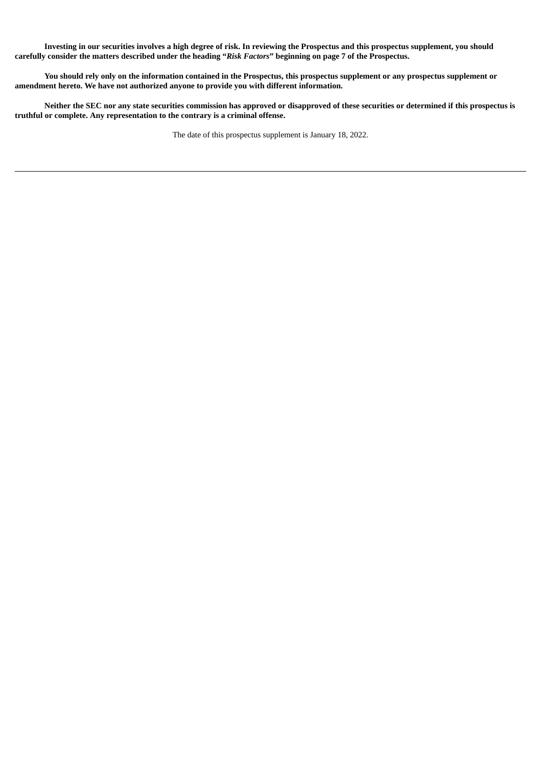Investing in our securities involves a high degree of risk. In reviewing the Prospectus and this prospectus supplement, you should carefully consider the matters described under the heading "Risk Factors" beginning on page 7 of the Prospectus.

You should rely only on the information contained in the Prospectus, this prospectus supplement or any prospectus supplement or **amendment hereto. We have not authorized anyone to provide you with different information.**

Neither the SEC nor any state securities commission has approved or disapproved of these securities or determined if this prospectus is **truthful or complete. Any representation to the contrary is a criminal offense.**

The date of this prospectus supplement is January 18, 2022.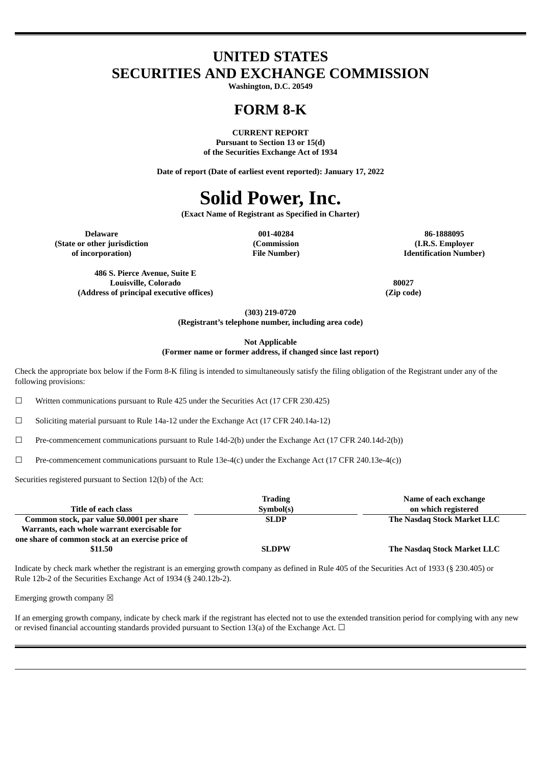### **UNITED STATES SECURITIES AND EXCHANGE COMMISSION**

**Washington, D.C. 20549**

### **FORM 8-K**

**CURRENT REPORT Pursuant to Section 13 or 15(d) of the Securities Exchange Act of 1934**

**Date of report (Date of earliest event reported): January 17, 2022**

## **Solid Power, Inc.**

**(Exact Name of Registrant as Specified in Charter)**

**(State or other jurisdiction of incorporation)**

**(Commission File Number)**

**Delaware 001-40284 86-1888095 (I.R.S. Employer Identification Number)**

**486 S. Pierce Avenue, Suite E Louisville, Colorado 80027 (Address of principal executive offices) (Zip code)**

**(303) 219-0720**

**(Registrant's telephone number, including area code)**

**Not Applicable (Former name or former address, if changed since last report)**

Check the appropriate box below if the Form 8-K filing is intended to simultaneously satisfy the filing obligation of the Registrant under any of the following provisions:

 $\Box$  Written communications pursuant to Rule 425 under the Securities Act (17 CFR 230.425)

☐ Soliciting material pursuant to Rule 14a-12 under the Exchange Act (17 CFR 240.14a-12)

☐ Pre-commencement communications pursuant to Rule 14d-2(b) under the Exchange Act (17 CFR 240.14d-2(b))

 $□$  Pre-commencement communications pursuant to Rule 13e-4(c) under the Exchange Act (17 CFR 240.13e-4(c))

Securities registered pursuant to Section 12(b) of the Act:

|                                                   | <b>Trading</b> | Name of each exchange       |
|---------------------------------------------------|----------------|-----------------------------|
| Title of each class                               | Symbol(s)      | on which registered         |
| Common stock, par value \$0.0001 per share        | <b>SLDP</b>    | The Nasdag Stock Market LLC |
| Warrants, each whole warrant exercisable for      |                |                             |
| one share of common stock at an exercise price of |                |                             |
| \$11.50                                           | <b>SLDPW</b>   | The Nasdag Stock Market LLC |

Indicate by check mark whether the registrant is an emerging growth company as defined in Rule 405 of the Securities Act of 1933 (§ 230.405) or Rule 12b-2 of the Securities Exchange Act of 1934 (§ 240.12b-2).

Emerging growth company  $\boxtimes$ 

If an emerging growth company, indicate by check mark if the registrant has elected not to use the extended transition period for complying with any new or revised financial accounting standards provided pursuant to Section 13(a) of the Exchange Act.  $\Box$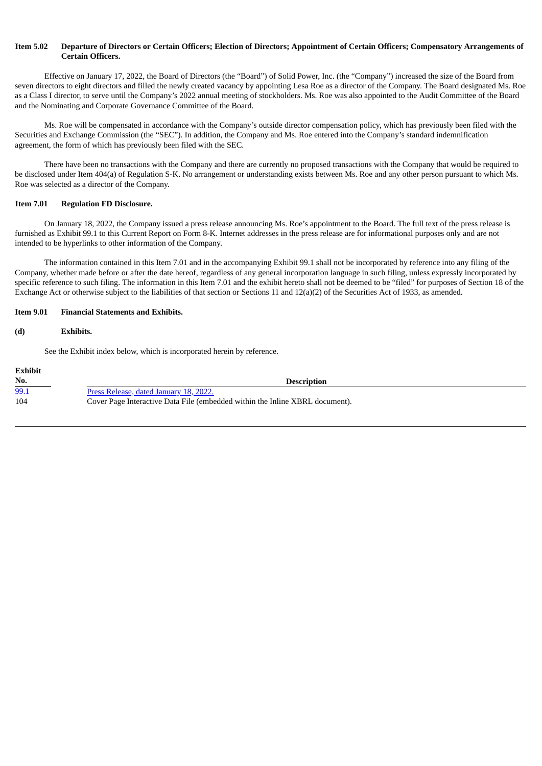#### Item 5.02 Departure of Directors or Certain Officers: Election of Directors: Appointment of Certain Officers: Compensatory Arrangements of **Certain Officers.**

Effective on January 17, 2022, the Board of Directors (the "Board") of Solid Power, Inc. (the "Company") increased the size of the Board from seven directors to eight directors and filled the newly created vacancy by appointing Lesa Roe as a director of the Company. The Board designated Ms. Roe as a Class I director, to serve until the Company's 2022 annual meeting of stockholders. Ms. Roe was also appointed to the Audit Committee of the Board and the Nominating and Corporate Governance Committee of the Board.

Ms. Roe will be compensated in accordance with the Company's outside director compensation policy, which has previously been filed with the Securities and Exchange Commission (the "SEC"). In addition, the Company and Ms. Roe entered into the Company's standard indemnification agreement, the form of which has previously been filed with the SEC.

There have been no transactions with the Company and there are currently no proposed transactions with the Company that would be required to be disclosed under Item 404(a) of Regulation S-K. No arrangement or understanding exists between Ms. Roe and any other person pursuant to which Ms. Roe was selected as a director of the Company.

#### **Item 7.01 Regulation FD Disclosure.**

On January 18, 2022, the Company issued a press release announcing Ms. Roe's appointment to the Board. The full text of the press release is furnished as Exhibit 99.1 to this Current Report on Form 8-K. Internet addresses in the press release are for informational purposes only and are not intended to be hyperlinks to other information of the Company.

The information contained in this Item 7.01 and in the accompanying Exhibit 99.1 shall not be incorporated by reference into any filing of the Company, whether made before or after the date hereof, regardless of any general incorporation language in such filing, unless expressly incorporated by specific reference to such filing. The information in this Item 7.01 and the exhibit hereto shall not be deemed to be "filed" for purposes of Section 18 of the Exchange Act or otherwise subject to the liabilities of that section or Sections 11 and 12(a)(2) of the Securities Act of 1933, as amended.

#### **Item 9.01 Financial Statements and Exhibits.**

#### **(d) Exhibits.**

See the Exhibit index below, which is incorporated herein by reference.

| Exhibit |                                                                              |
|---------|------------------------------------------------------------------------------|
| No.     | <b>Description</b>                                                           |
| 99.1    | Press Release, dated January 18, 2022.                                       |
| 104     | Cover Page Interactive Data File (embedded within the Inline XBRL document). |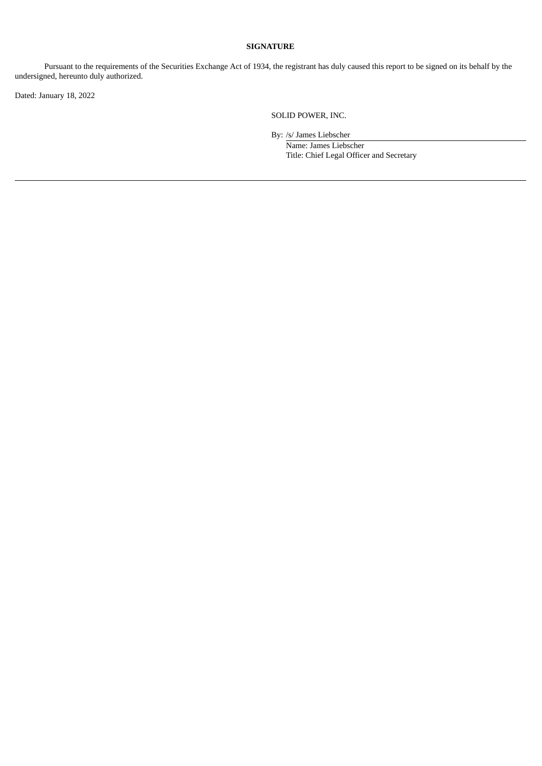#### **SIGNATURE**

Pursuant to the requirements of the Securities Exchange Act of 1934, the registrant has duly caused this report to be signed on its behalf by the undersigned, hereunto duly authorized.

Dated: January 18, 2022

SOLID POWER, INC.

By: /s/ James Liebscher

Name: James Liebscher Title: Chief Legal Officer and Secretary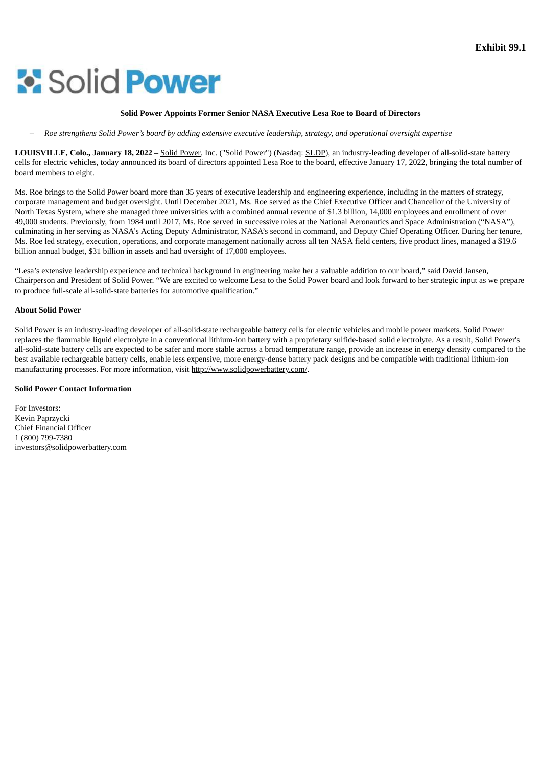# <span id="page-5-0"></span>**Solid Power**

#### **Solid Power Appoints Former Senior NASA Executive Lesa Roe to Board of Directors**

Roe strenathens Solid Power's board by addina extensive executive leadership, strateay, and operational oversiaht expertise

**LOUISVILLE, Colo., January 18, 2022 –** Solid Power, Inc. ("Solid Power") (Nasdaq: SLDP), an industry-leading developer of all-solid-state battery cells for electric vehicles, today announced its board of directors appointed Lesa Roe to the board, effective January 17, 2022, bringing the total number of board members to eight.

Ms. Roe brings to the Solid Power board more than 35 years of executive leadership and engineering experience, including in the matters of strategy, corporate management and budget oversight. Until December 2021, Ms. Roe served as the Chief Executive Officer and Chancellor of the University of North Texas System, where she managed three universities with a combined annual revenue of \$1.3 billion, 14,000 employees and enrollment of over 49,000 students. Previously, from 1984 until 2017, Ms. Roe served in successive roles at the National Aeronautics and Space Administration ("NASA"), culminating in her serving as NASA's Acting Deputy Administrator, NASA's second in command, and Deputy Chief Operating Officer. During her tenure, Ms. Roe led strategy, execution, operations, and corporate management nationally across all ten NASA field centers, five product lines, managed a \$19.6 billion annual budget, \$31 billion in assets and had oversight of 17,000 employees.

"Lesa's extensive leadership experience and technical background in engineering make her a valuable addition to our board," said David Jansen, Chairperson and President of Solid Power. "We are excited to welcome Lesa to the Solid Power board and look forward to her strategic input as we prepare to produce full-scale all-solid-state batteries for automotive qualification."

#### **About Solid Power**

Solid Power is an industry-leading developer of all-solid-state rechargeable battery cells for electric vehicles and mobile power markets. Solid Power replaces the flammable liquid electrolyte in a conventional lithium-ion battery with a proprietary sulfide-based solid electrolyte. As a result, Solid Power's all-solid-state battery cells are expected to be safer and more stable across a broad temperature range, provide an increase in energy density compared to the best available rechargeable battery cells, enable less expensive, more energy-dense battery pack designs and be compatible with traditional lithium-ion manufacturing processes. For more information, visit http://www.solidpowerbattery.com/.

#### **Solid Power Contact Information**

For Investors: Kevin Paprzycki Chief Financial Officer 1 (800) 799-7380 investors@solidpowerbattery.com